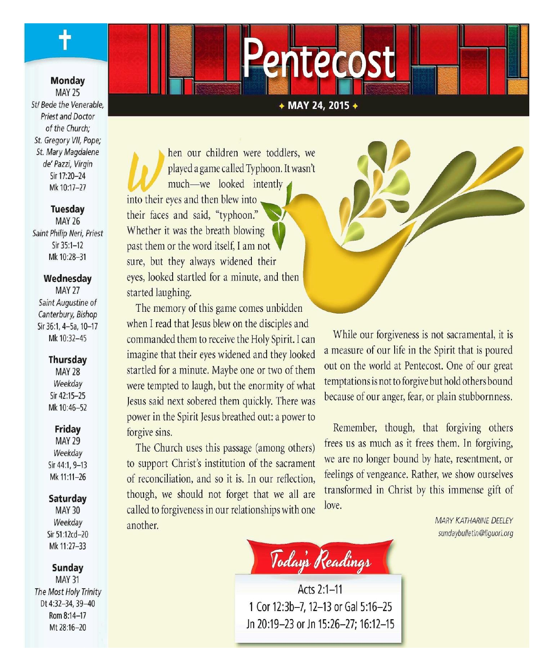**Monday MAY 25** Stl Bede the Venerable, **Priest and Doctor** of the Church: St. Gregory VII, Pope: St. Mary Magdalene de' Pazzi, Virgin Sir 17:20-24 Mk 10:17-27

### **Tuesday**

**MAY 26** Saint Philip Neri, Priest Sir 35:1-12 Mk 10:28-31

#### Wednesday

**MAY 27** Saint Augustine of Canterbury, Bishop Sir 36:1, 4-5a, 10-17 Mk 10:32-45

### **Thursday**

**MAY 28** Weekday Sir 42:15-25 Mk 10:46-52

### Friday

**MAY 29** Weekday Sir 44:1, 9-13 Mk 11:11-26

### Saturday

**MAY 30** Weekday Sir 51:12cd-20 Mk 11:27-33

Sunday

**MAY 31** The Most Holy Trinity Dt 4:32-34, 39-40 Rom 8:14-17 Mt 28:16-20

### + MAY 24, 2015 +

entecost

hen our children were toddlers, we played a game called Typhoon. It wasn't much—we looked intently into their eyes and then blew into their faces and said, "typhoon." Whether it was the breath blowing past them or the word itself. I am not sure, but they always widened their eyes, looked startled for a minute, and then started laughing.

The memory of this game comes unbidden when I read that Jesus blew on the disciples and commanded them to receive the Holy Spirit. I can imagine that their eyes widened and they looked startled for a minute. Maybe one or two of them were tempted to laugh, but the enormity of what Jesus said next sobered them quickly. There was power in the Spirit Jesus breathed out: a power to forgive sins.

The Church uses this passage (among others) to support Christ's institution of the sacrament of reconciliation, and so it is. In our reflection, though, we should not forget that we all are called to forgiveness in our relationships with one another.



While our forgiveness is not sacramental, it is a measure of our life in the Spirit that is poured out on the world at Pentecost. One of our great temptations is not to forgive but hold others bound because of our anger, fear, or plain stubbornness.

Remember, though, that forgiving others frees us as much as it frees them. In forgiving, we are no longer bound by hate, resentment, or feelings of vengeance. Rather, we show ourselves transformed in Christ by this immense gift of love.

> **MARY KATHARINE DEELEY** sundaybulletin@liquori.org

Today's Readings

Acts 2:1-11 1 Cor 12:3b-7, 12-13 or Gal 5:16-25 Jn 20:19-23 or Jn 15:26-27; 16:12-15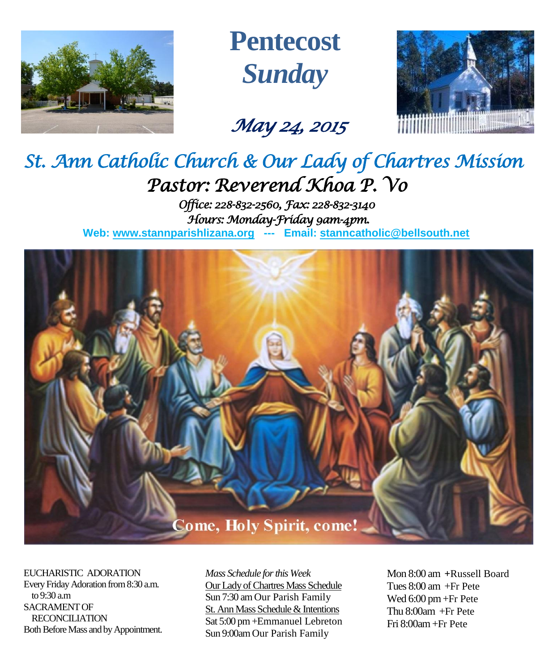

**Pentecost** *Sunday*

# *May 24, 2015*



# *St. Ann Catholic Church & Our Lady of Chartres Mission Pastor: Reverend Khoa P. Vo*

*Office: 228-832-2560, Fax: 228-832-3140 Hours: Monday-Friday 9am-4pm.*  **Web: www.stannparishlizana.org --- Email: [stanncatholic@bellsouth.net](mailto:stanncatholic@bellsouth.net)**



EUCHARISTIC ADORATION Every Friday Adoration from 8:30 a.m. to 9:30 a.m SACRAMENT OF RECONCILIATION Both Before Mass and by Appointment. *Mass Schedule for this Week*  Our Lady of Chartres Mass Schedule Sun 7:30 am Our Parish Family St. Ann Mass Schedule & Intentions Sat 5:00 pm +Emmanuel Lebreton Sun 9:00am Our Parish Family

Mon 8:00 am **+**Russell Board Tues 8:00 am +Fr Pete Wed 6:00 pm +Fr Pete Thu 8:00am +Fr Pete Fri 8:00am+Fr Pete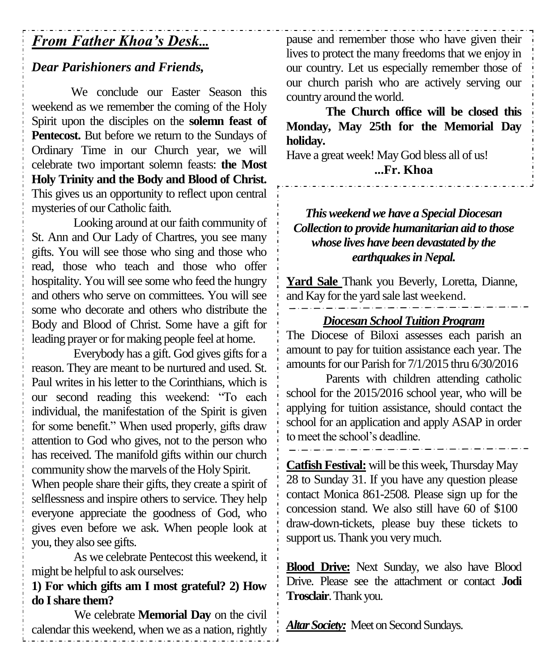# *From Father Khoa's Desk...*

# *Dear Parishioners and Friends,*

We conclude our Easter Season this weekend as we remember the coming of the Holy Spirit upon the disciples on the **solemn feast of Pentecost.** But before we return to the Sundays of Ordinary Time in our Church year, we will celebrate two important solemn feasts: **the Most Holy Trinity and the Body and Blood of Christ.**  This gives us an opportunity to reflect upon central mysteries of our Catholic faith.

Looking around at our faith community of St. Ann and Our Lady of Chartres, you see many gifts. You will see those who sing and those who read, those who teach and those who offer hospitality. You will see some who feed the hungry and others who serve on committees. You will see some who decorate and others who distribute the Body and Blood of Christ. Some have a gift for leading prayer or for making people feel at home.

Everybody has a gift. God gives gifts for a reason. They are meant to be nurtured and used. St. Paul writes in his letter to the Corinthians, which is our second reading this weekend: "To each individual, the manifestation of the Spirit is given for some benefit." When used properly, gifts draw attention to God who gives, not to the person who has received. The manifold gifts within our church community show the marvels of the Holy Spirit.

When people share their gifts, they create a spirit of selflessness and inspire others to service. They help everyone appreciate the goodness of God, who gives even before we ask. When people look at you, they also see gifts.

As we celebrate Pentecost this weekend, it might be helpful to ask ourselves:

**1) For which gifts am I most grateful? 2) How do Ishare them?**

We celebrate **Memorial Day** on the civil calendar this weekend, when we as a nation, rightly

pause and remember those who have given their lives to protect the many freedoms that we enjoy in our country. Let us especially remember those of our church parish who are actively serving our country around the world.

**The Church office will be closed this Monday, May 25th for the Memorial Day holiday.** 

Have a great week! May God bless all of us! **...Fr. Khoa**

# *This weekend we have a Special Diocesan Collection to provide humanitarian aid to those whose lives have been devastated by the earthquakes in Nepal.*

**Yard Sale** Thank you Beverly, Loretta, Dianne, and Kay for the yard sale last weekend.

### *Diocesan School Tuition Program*

The Diocese of Biloxi assesses each parish an amount to pay for tuition assistance each year. The amounts for our Parish for 7/1/2015 thru 6/30/2016

Parents with children attending catholic school for the 2015/2016 school year, who will be applying for tuition assistance, should contact the school for an application and apply ASAP in order to meet the school's deadline.

**Catfish Festival:** will be this week, Thursday May 28 to Sunday 31. If you have any question please contact Monica 861-2508. Please sign up for the concession stand. We also still have 60 of \$100 draw-down-tickets, please buy these tickets to support us. Thank you very much.

**Blood Drive:** Next Sunday, we also have Blood Drive. Please see the attachment or contact **Jodi Trosclair**. Thank you.

*Altar Society:* Meet on Second Sundays.